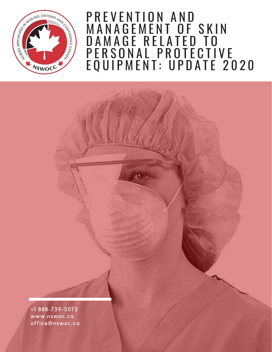

### P R E V E N T I O N \_ A N D MANAGEMENT OF SKIN DAMAGE RELATED TO P E R S O N A L P R O T E C T I V E EQUIPMENT: UPDATE 2020

+1 888-739-5072 www.nswoc.ca office@nswoc.ca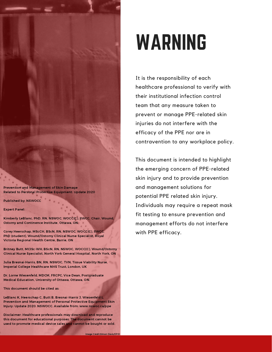Prevention and Management of Skin Damage Related to Personal Protective Equipment: Update 2020

Published by: NSWOCC

Expert Panel:

Kimberly LeBlanc, PhD, RN, NSWOC, WOCC(C), IIWCC, Chair, Wound, Ostomy and Continence Institute, Ottawa, ON

Corey Heerschap, MScCH, BScN, RN, NSWOC, WOCC(C), IIWCC, PhD (student), Wound/Ostomy Clinical Nurse Specialist, Royal Victoria Regional Health Centre, Barrie, ON

Britney Butt, MCISc-WH, BScN, RN, NSWOC, WOCC(C), Wound/Ostomy Clinical Nurse Specialist, North York General Hospital, North York, ON

Julia Bresnai-Harris, BN, RN, NSWOC, TVN, Tissue Viability Nurse, Imperial College Healthcare NHS Trust, London, UK

Dr. Lorne Wiesenfeld, MDCM, FRCPC, Vice Dean, Postgraduate Medical Education, University of Ottawa, Ottawa, ON.

This document should be cited as:

LeBlanc K, Heerschap C, Butt B, Bresnai-Harris J, Wiesenfeld L. Prevention and Management of Personal Protective Equipment Skin Injury: Update 2020. NSWOCC. Available from: www.nswoc.ca/ppe

Disclaimer: Healthcare professionals may download and reproduce this document for educational purposes. The document cannot be used to promote medical device sales and cannot be bought or sold.

# WARNING

It is the responsibility of each healthcare professional to verify with their institutional infection control team that any measure taken to prevent or manage PPE-related skin injuries do not interfere with the efficacy of the PPE nor are in contravention to any workplace policy.

This document is intended to highlight the emerging concern of PPE-related skin injury and to provide prevention and management solutions for potential PPE related skin injury. Individuals may require a repeat mask fit testing to ensure prevention and management efforts do not interfere with PPE efficacy.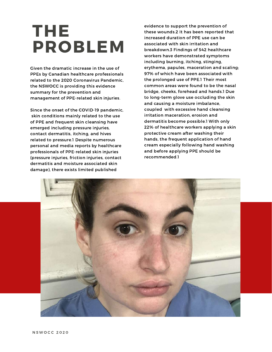## THE PROBLEM

Given the dramatic increase in the use of PPEs by Canadian healthcare professionals related to the 2020 Coronavirus Pandemic, the NSWOCC is providing this evidence summary for the prevention and management of PPE-related skin injuries.

Since the onset of the COVID-19 pandemic, skin conditions mainly related to the use of PPE and frequent skin cleansing have emerged including pressure injuries, contact dermatitis, itching, and hives related to pressure.1 Despite numerous personal and media reports by healthcare professionals of PPE-related skin injuries (pressure injuries, friction injuries, contact dermatitis and moisture associated skin damage), there exists limited published

evidence to support the prevention of these wounds.2 It has been reported that increased duration of PPE use can be associated with skin irritation and breakdown.3 Findings of 542 healthcare workers have demonstrated symptoms including burning, itching, stinging, erythema, papules, maceration and scaling; 97% of which have been associated with the prolonged use of PPE.1 Their most common areas were found to be the nasal bridge, cheeks, forehead and hands.1 Due to long-term glove use occluding the skin and causing a moisture imbalance, coupled with excessive hand cleansing irritation maceration, erosion and dermatitis become possible.1 With only 22% of healthcare workers applying a skin protective cream after washing their hands, the frequent application of hand cream especially following hand washing and before applying PPE should be recommended.1

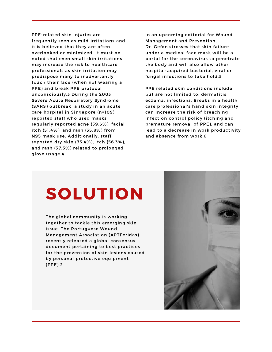PPE-related skin injuries are frequently seen as mild irritations and it is believed that they are often overlooked or minimized. It must be noted that even small skin irritations may increase the risk to healthcare professionals as skin irritation may predispose many to inadvertently touch their face (when not wearing a PPE) and break PPE protocol unconsciously.3 During the 2003 Severe Acute Respiratory Syndrome (SARS) outbreak, a study in an acute care hospital in Singapore (n=109) reported staff who used masks regularly reported acne (59.6%), facial itch (51.4%), and rash (35.8%) from N95 mask use. Additionally, staff reported dry skin (73.4%), itch (56.3%), and rash (37.5%) related to prolonged glove usage.4

In an upcoming editorial for Wound Management and Prevention, Dr. Gefen stresses that skin failure under a medical face mask will be a portal for the coronavirus to penetrate the body and will also allow other hospital-acquired bacterial, viral or fungal infections to take hold.5

PPE related skin conditions include but are not limited to; dermatitis, eczema, infections. Breaks in a health care professional's hand skin integrity can increase the risk of breaching infection control policy (itching and premature removal of PPE), and can lead to a decrease in work productivity and absence from work.6

## SOLUTION

The global community is working together to tackle this emerging skin issue. The Portuguese Wound Management Association (APTFeridas) recently released a global consensus document pertaining to best practices for the prevention of skin lesions caused by personal protective equipment (PPE).2

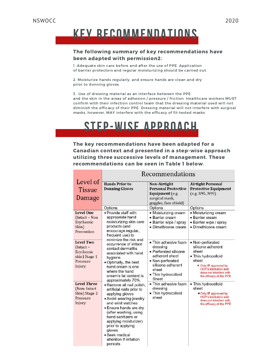### KEY RECOMMENDATIONS

#### The following summary of key recommendations have been adapted with permission2:

1. Adequate skin care before and after the use of PPE. Application of barrier protectors and regular moisturizing should be carried out.

2. Moisturize hands regularly, and ensure hands are clean and dry prior to donning gloves.

3. Use of dressing material as an interface between the PPE and the skin in the areas of adhesion / pressure / friction. Healthcare workers MUST confirm with their infection control team that the dressing material used will not diminish the efficacy of their PPE. Dressing material will not interfere with surgical masks, however, MAY interfere with the efficacy of fit-tested masks.

### STEP-WISE APPROACH

The key recommendations have been adapted for a Canadian context and presented in a step-wise approach utilizing three successive levels of management. These recommendations can be seen in Table 1 below.

|                                                                                  | Recommendations                                                                                                                                                                                                                                                                                                                                 |                                                                                                                                                               |                                                                                                                                                                                               |
|----------------------------------------------------------------------------------|-------------------------------------------------------------------------------------------------------------------------------------------------------------------------------------------------------------------------------------------------------------------------------------------------------------------------------------------------|---------------------------------------------------------------------------------------------------------------------------------------------------------------|-----------------------------------------------------------------------------------------------------------------------------------------------------------------------------------------------|
| Level of<br><b>Tissue</b><br>Damage                                              | <b>Hands Prior to</b><br><b>Donning Gloves</b>                                                                                                                                                                                                                                                                                                  | Non-Airtight<br><b>Personal Protective</b><br>Equipment (e.g.<br>surgical mask,<br>goggles, face shield)                                                      | <b>Airtight Personal</b><br><b>Protective Equipment</b><br>(e.g. N95, N99)                                                                                                                    |
| Level One<br>(Intact - Non<br>Erythemic<br>Skin)<br>Prevention                   | Options<br>• Provide staff with<br>appropriate hand<br>moisturizing skin care<br>products (and<br>encourage regular,<br>frequent use) to<br>minimize the risk and<br>occurrence of irritant<br>contact dermatitis<br>associated with hand<br>hygiene.<br>. Optimally, the best<br>hand cream is one<br>where the hand<br>cream's fat content is | Options<br>• Moisturizing cream<br>· Barrier cream<br>• Barrier wipe / spray<br>• Dimethicone cream                                                           | Options<br>• Moisturizing cream<br>· Barrier cream<br>• Barrier wipe / spray<br>· Dimethicone cream                                                                                           |
| <b>Level Two</b><br>(Intact-<br>Erythemic<br>skin) Stage 1<br>Pressure<br>Injury |                                                                                                                                                                                                                                                                                                                                                 | • Thin adhesive foam<br>dressing<br>• Perforated silicone<br>adherent sheet<br>• Non-perforated<br>silicone adherent<br>sheet<br>• Thin hydrocolloid<br>Sheet | • Non-perforated<br>silicone adherent<br>sheet<br>• Thin hydrocolloid<br>sheet<br>• Only IF approved by<br><b>HCP's institution and</b><br>does not interfere with<br>the efficacy of the PPE |
| <b>Level Three</b><br>(Non-Intact<br>Skin) Stage 2<br>Pressure<br>Injury         | approximately 70%.<br>· Remove all nail polish,<br>artificial nails prior to<br>applying gloves<br>. Avoid wearing jewelry<br>and wrist watches<br>• Ensure hands are dry<br>(after washing, using<br>hand sanitizers or<br>applying moisturizer)<br>prior to applying<br>gloves<br>• Seek medical<br>attention if irritation<br>persists       | • Thin adhesive foam<br>dressing<br>• Thin hydrocolloid<br>sheet                                                                                              | • Thin hydrocolloid<br>sheet<br>. Only IF approved by<br><b>HCP's institution and</b><br>does not interfere with<br>the efficacy of the PPE                                                   |

#### **Decemmendations**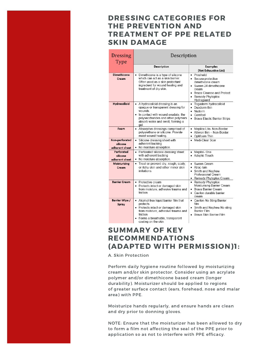#### DRESSING CATEGORIES FOR THE PREVENTION AND TREATMENT OF PPE RELATED SKIN DAMAGE

| Dressing<br>Type                             | Description                                                                                                                                                                                                |                                                                                                                                                               |  |
|----------------------------------------------|------------------------------------------------------------------------------------------------------------------------------------------------------------------------------------------------------------|---------------------------------------------------------------------------------------------------------------------------------------------------------------|--|
|                                              | Description                                                                                                                                                                                                | <b>Examples</b><br>(Not Exhaustive List)                                                                                                                      |  |
| <b>Dimethicone</b><br>Cream                  | Dimethicone is a type of silicone<br>$\bullet$<br>which can act as a skin barrier.<br>Often used as a skin protectant<br>ingredient for wound healing and<br>treatment of dry skin.                        | • Prosheild<br>• Secura protective<br>dimethicone cream<br>• Sween 24 dimethicone<br>cream<br>• Braza Cleanse and Protect<br>• Remedy Phytoplex<br>Hydraguard |  |
| Hydrocolloid                                 | • A hydrocolloid dressing is an<br>opaque or transparent dressing for<br>wounds<br>• In contact with wound exudate, the<br>polysaccharides and other polymers<br>absorb water and swell, forming a<br>gel. | · Tegaderm hydrocolloid<br>• Duoderm thin<br>• Nuderm<br>• Comfeel<br>• Brava Elastic Barrier Strips                                                          |  |
| Foam                                         | • Absorptive dressings comprised of<br>polyurethane or silicone. Provide<br>moist wound healing.                                                                                                           | Mepilex Lite- Non-Border<br>$\bullet$<br>• Allyven thin - Non-Border<br>• Optifoam Thin                                                                       |  |
| Non-perforated<br>silicone<br>adherent sheet | • Silicone dressing sheet with<br>adherent backing<br>• No moisture absorption.                                                                                                                            | • Medi-Clear Scar                                                                                                                                             |  |
| Perforated<br>silicone<br>adherent sheet     | • Perforated silicone dressing sheet<br>with adherent backing<br>• No moisture absorption.                                                                                                                 | • Mepitel-One<br>• Adaptic Touch                                                                                                                              |  |
| <b>Moisturizing</b><br>Cream                 | • Treat or prevent dry, rough, scaly,<br>or itchy skin and other minor skin<br>irritations                                                                                                                 | • Sween Cream<br>• Atrac-tain<br>• Smith and Nephew<br>Professional Cream<br>• Remedy Phytoplex Cream                                                         |  |
| <b>Barrier Cream</b>                         | • Protective cream<br>• Protects intact or damaged skin<br>from moisture, adhesive trauma and<br>friction                                                                                                  | • Remedy Phytoplex<br>Moisturising Barrier Cream<br>• Brava Barrier Cream<br>• Cavilon durable barrier<br>cream                                               |  |
| Barrier Wipe /<br>Spray                      | • Alcohol-free liquid barrier film that<br>protects<br>• Protects intact or damaged skin<br>from moisture, adhesive trauma and<br>friction<br>• Forms a breathable, transparent<br>coating on the skin     | • Cavilon No Sting Barrier<br>film<br>• Smith and Nephew No sting<br><b>Barrier Film</b><br>• Brava Skin Barrier Film                                         |  |

#### SUMMARY OF KEY RECOMMENDATIONS (ADAPTED WITH PERMISSION)1:

A. Skin Protection

Perform daily hygiene routine followed by moisturizing cream and/or skin protector. Consider using an acrylate polymer and/or dimethicone based cream (longer durability). Moisturizer should be applied to regions of greater surface contact (ears, forehead, nose and malar area) with PPE.

Moisturize hands regularly, and ensure hands are clean and dry prior to donning gloves.

NOTE: Ensure that the moisturizer has been allowed to dry to form a film not affecting the seal of the PPE prior to application so as not to interfere with PPE efficacy.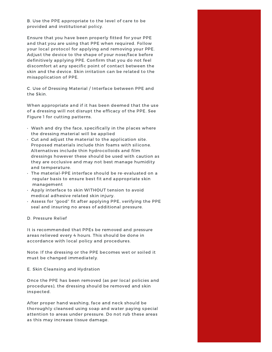B. Use the PPE appropriate to the level of care to be provided and institutional policy.

Ensure that you have been properly fitted for your PPE and that you are using that PPE when required. Follow your local protocol for applying and removing your PPE. Adjust the device to the shape of your nose/face before definitively applying PPE. Confirm that you do not feel discomfort at any specific point of contact between the skin and the device. Skin irritation can be related to the misapplication of PPE.

C. Use of Dressing Material / Interface between PPE and the Skin.

When appropriate and if it has been deemed that the use of a dressing will not disrupt the efficacy of the PPE. See Figure 1 for cutting patterns.

- Wash and dry the face, specifically in the places where the dressing material will be applied
- Cut and adjust the material to the application site. Proposed materials include thin foams with silicone. Alternatives include thin hydrocolloids and film dressings however these should be used with caution as they are occlusive and may not best manage humidity and temperature.
- The material-PPE interface should be re-evaluated on a regular basis to ensure best fit and appropriate skin management
- Apply interface to skin WITHOUT tension to avoid medical adhesive related skin injury.
- Assess for "good" fit after applying PPE, verifying the PPE seal and insuring no areas of additional pressure.

#### D. Pressure Relief

It is recommended that PPEs be removed and pressure areas relieved every 4 hours. This should be done in accordance with local policy and procedures.

Note: If the dressing or the PPE becomes wet or soiled it must be changed immediately.

#### E. Skin Cleansing and Hydration

Once the PPE has been removed (as per local policies and procedures), the dressing should be removed and skin inspected.

After proper hand washing, face and neck should be thoroughly cleansed using soap and water paying special attention to areas under pressure. Do not rub these areas as this may increase tissue damage.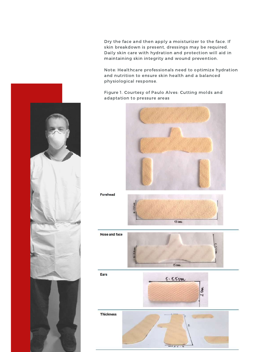Dry the face and then apply a moisturizer to the face. If skin breakdown is present, dressings may be required. Daily skin care with hydration and protection will aid in maintaining skin integrity and wound prevention.

Note: Healthcare professionals need to optimize hydration and nutrition to ensure skin health and a balanced physiological response.

Figure 1. Courtesy of Paulo Alves: Cutting molds and adaptation to pressure areas







Ears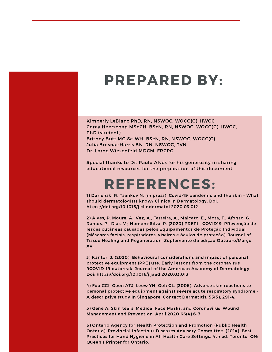## PREPARED BY:

Kimberly LeBlanc PhD, RN, NSWOC, WOCC(C), IIWCC Corey Heerschap MScCH, BScN, RN, NSWOC, WOCC(C), IIWCC, PhD (student) Britney Butt MCISc-WH, BScN, RN, NSWOC, WOCC(C) Julia Bresnai-Harris BN, RN, NSWOC, TVN Dr. Lorne Wiesenfeld MDCM, FRCPC

Special thanks to Dr. Paulo Alves for his generosity in sharing educational resources for the preparation of this document.

### REFERENCES:

1) Darlenski R, Tsankov N. (in press). Covid-19 pandemic and the skin – What should dermatologists know? Clinics in Dermatology. Doi: https://doi.org/10.1016/j.clindermatol.2020.03.012

2) Alves, P; Moura, A.; Vaz, A.; Ferreira, A.; Malcato, E.; Mota, F.; Afonso, G.; Ramos, P.; Dias, V.; Homem-Silva, P. (2020) PREPI | COVID19. PRevenção de lesões cutâneas causadas pelos Equipamentos de Proteção Individual (Máscaras faciais, respiradores, viseiras e óculos de proteção). Journal of Tissue Healing and Regeneration. Suplemento da edição Outubro/Março XV.

3) Kantor, J. (2020). Behavioural considerations and impact of personal protective equipment (PPE) use: Early lessons from the coronavirus 9COVID-19 outbreak. Journal of the American Academy of Dermatology. Doi: https://doi.org/10.1016/j.jaad.2020.03.013.

4) Foo CCI, Goon ATJ, Leow YH, Goh CL. (2006). Adverse skin reactions to personal protective equipment against severe acute respiratory syndrome - A descriptive study in Singapore. Contact Dermatitis, 55(5), 291–4.

5) Gene A. Skin tears, Medical Face Masks, and Coronavirus. Wound Management and Prevention. April 2020 66(4) 6-7.

6) Ontario Agency for Health Protection and Promotion (Public Health Ontario), Provincial Infectious Diseases Advisory Committee. (2014). Best Practices for Hand Hygiene in All Health Care Settings. 4th ed. Toronto, ON: Queen's Printer for Ontario.